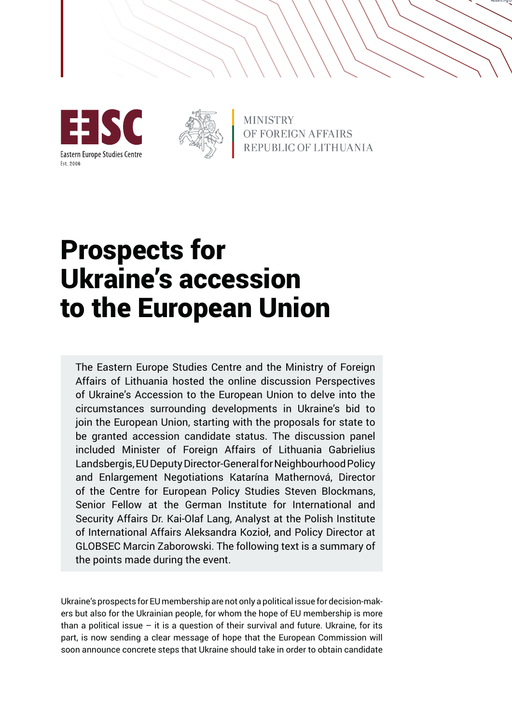





**MINISTRY** OF FOREIGN AFFAIRS REPUBLIC OF LITHUANIA

# Prospects for Ukraine's accession to the European Union

The Eastern Europe Studies Centre and the Ministry of Foreign Affairs of Lithuania hosted the online discussion Perspectives of Ukraine's Accession to the European Union to delve into the circumstances surrounding developments in Ukraine's bid to join the European Union, starting with the proposals for state to be granted accession candidate status. The discussion panel included Minister of Foreign Affairs of Lithuania Gabrielius Landsbergis, EU Deputy Director-General for Neighbourhood Policy and Enlargement Negotiations Katarína Mathernová, Director of the Centre for European Policy Studies Steven Blockmans, Senior Fellow at the German Institute for International and Security Affairs Dr. Kai-Olaf Lang, Analyst at the Polish Institute of International Affairs Aleksandra Kozioł, and Policy Director at GLOBSEC Marcin Zaborowski. The following text is a summary of the points made during the event.

Ukraine's prospects for EU membership are not only a political issue for decision-makers but also for the Ukrainian people, for whom the hope of EU membership is more than a political issue  $-$  it is a question of their survival and future. Ukraine, for its part, is now sending a clear message of hope that the European Commission will soon announce concrete steps that Ukraine should take in order to obtain candidate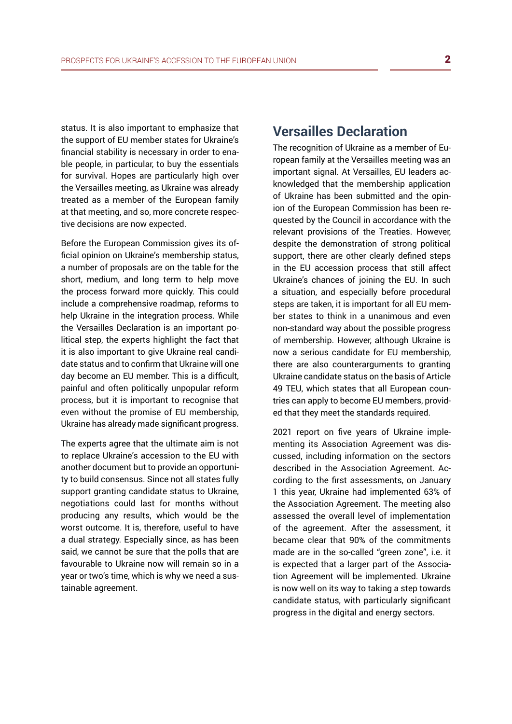status. It is also important to emphasize that the support of EU member states for Ukraine's financial stability is necessary in order to enable people, in particular, to buy the essentials for survival. Hopes are particularly high over the Versailles meeting, as Ukraine was already treated as a member of the European family at that meeting, and so, more concrete respective decisions are now expected.

Before the European Commission gives its official opinion on Ukraine's membership status, a number of proposals are on the table for the short, medium, and long term to help move the process forward more quickly. This could include a comprehensive roadmap, reforms to help Ukraine in the integration process. While the Versailles Declaration is an important political step, the experts highlight the fact that it is also important to give Ukraine real candidate status and to confirm that Ukraine will one day become an EU member. This is a difficult, painful and often politically unpopular reform process, but it is important to recognise that even without the promise of EU membership, Ukraine has already made significant progress.

The experts agree that the ultimate aim is not to replace Ukraine's accession to the EU with another document but to provide an opportunity to build consensus. Since not all states fully support granting candidate status to Ukraine, negotiations could last for months without producing any results, which would be the worst outcome. It is, therefore, useful to have a dual strategy. Especially since, as has been said, we cannot be sure that the polls that are favourable to Ukraine now will remain so in a year or two's time, which is why we need a sustainable agreement.

### **Versailles Declaration**

The recognition of Ukraine as a member of European family at the Versailles meeting was an important signal. At Versailles, EU leaders acknowledged that the membership application of Ukraine has been submitted and the opinion of the European Commission has been requested by the Council in accordance with the relevant provisions of the Treaties. However, despite the demonstration of strong political support, there are other clearly defined steps in the EU accession process that still affect Ukraine's chances of joining the EU. In such a situation, and especially before procedural steps are taken, it is important for all EU member states to think in a unanimous and even non-standard way about the possible progress of membership. However, although Ukraine is now a serious candidate for EU membership, there are also counterarguments to granting Ukraine candidate status on the basis of Article 49 TEU, which states that all European countries can apply to become EU members, provided that they meet the standards required.

2021 report on five years of Ukraine implementing its Association Agreement was discussed, including information on the sectors described in the Association Agreement. According to the first assessments, on January 1 this year, Ukraine had implemented 63% of the Association Agreement. The meeting also assessed the overall level of implementation of the agreement. After the assessment, it became clear that 90% of the commitments made are in the so-called "green zone", i.e. it is expected that a larger part of the Association Agreement will be implemented. Ukraine is now well on its way to taking a step towards candidate status, with particularly significant progress in the digital and energy sectors.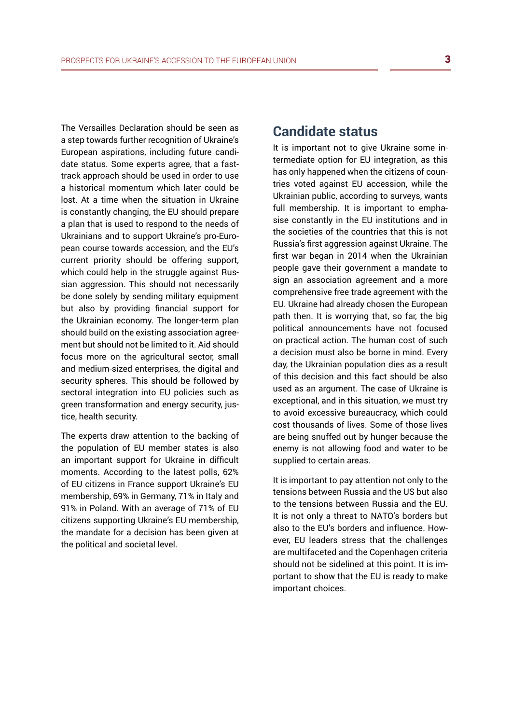The Versailles Declaration should be seen as a step towards further recognition of Ukraine's European aspirations, including future candidate status. Some experts agree, that a fasttrack approach should be used in order to use a historical momentum which later could be lost. At a time when the situation in Ukraine is constantly changing, the EU should prepare a plan that is used to respond to the needs of Ukrainians and to support Ukraine's pro-European course towards accession, and the EU's current priority should be offering support, which could help in the struggle against Russian aggression. This should not necessarily be done solely by sending military equipment but also by providing financial support for the Ukrainian economy. The longer-term plan should build on the existing association agreement but should not be limited to it. Aid should focus more on the agricultural sector, small and medium-sized enterprises, the digital and security spheres. This should be followed by sectoral integration into EU policies such as green transformation and energy security, justice, health security.

The experts draw attention to the backing of the population of EU member states is also an important support for Ukraine in difficult moments. According to the latest polls, 62% of EU citizens in France support Ukraine's EU membership, 69% in Germany, 71% in Italy and 91% in Poland. With an average of 71% of EU citizens supporting Ukraine's EU membership, the mandate for a decision has been given at the political and societal level.

#### **Candidate status**

It is important not to give Ukraine some intermediate option for EU integration, as this has only happened when the citizens of countries voted against EU accession, while the Ukrainian public, according to surveys, wants full membership. It is important to emphasise constantly in the EU institutions and in the societies of the countries that this is not Russia's first aggression against Ukraine. The first war began in 2014 when the Ukrainian people gave their government a mandate to sign an association agreement and a more comprehensive free trade agreement with the EU. Ukraine had already chosen the European path then. It is worrying that, so far, the big political announcements have not focused on practical action. The human cost of such a decision must also be borne in mind. Every day, the Ukrainian population dies as a result of this decision and this fact should be also used as an argument. The case of Ukraine is exceptional, and in this situation, we must try to avoid excessive bureaucracy, which could cost thousands of lives. Some of those lives are being snuffed out by hunger because the enemy is not allowing food and water to be supplied to certain areas.

It is important to pay attention not only to the tensions between Russia and the US but also to the tensions between Russia and the EU. It is not only a threat to NATO's borders but also to the EU's borders and influence. However, EU leaders stress that the challenges are multifaceted and the Copenhagen criteria should not be sidelined at this point. It is important to show that the EU is ready to make important choices.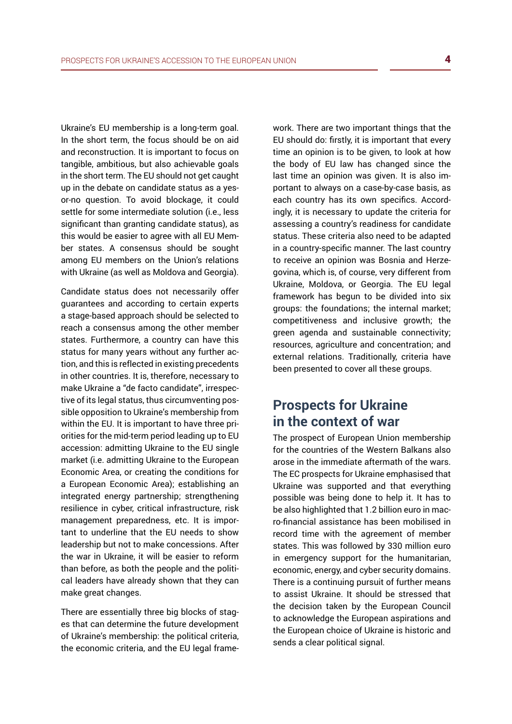Ukraine's EU membership is a long-term goal. In the short term, the focus should be on aid and reconstruction. It is important to focus on tangible, ambitious, but also achievable goals in the short term. The EU should not get caught up in the debate on candidate status as a yesor-no question. To avoid blockage, it could settle for some intermediate solution (i.e., less significant than granting candidate status), as this would be easier to agree with all EU Member states. A consensus should be sought among EU members on the Union's relations with Ukraine (as well as Moldova and Georgia).

Candidate status does not necessarily offer guarantees and according to certain experts a stage-based approach should be selected to reach a consensus among the other member states. Furthermore, a country can have this status for many years without any further action, and this is reflected in existing precedents in other countries. It is, therefore, necessary to make Ukraine a "de facto candidate", irrespective of its legal status, thus circumventing possible opposition to Ukraine's membership from within the EU. It is important to have three priorities for the mid-term period leading up to EU accession: admitting Ukraine to the EU single market (i.e. admitting Ukraine to the European Economic Area, or creating the conditions for a European Economic Area); establishing an integrated energy partnership; strengthening resilience in cyber, critical infrastructure, risk management preparedness, etc. It is important to underline that the EU needs to show leadership but not to make concessions. After the war in Ukraine, it will be easier to reform than before, as both the people and the political leaders have already shown that they can make great changes.

There are essentially three big blocks of stages that can determine the future development of Ukraine's membership: the political criteria, the economic criteria, and the EU legal framework. There are two important things that the EU should do: firstly, it is important that every time an opinion is to be given, to look at how the body of EU law has changed since the last time an opinion was given. It is also important to always on a case-by-case basis, as each country has its own specifics. Accordingly, it is necessary to update the criteria for assessing a country's readiness for candidate status. These criteria also need to be adapted in a country-specific manner. The last country to receive an opinion was Bosnia and Herzegovina, which is, of course, very different from Ukraine, Moldova, or Georgia. The EU legal framework has begun to be divided into six groups: the foundations; the internal market; competitiveness and inclusive growth; the green agenda and sustainable connectivity; resources, agriculture and concentration; and external relations. Traditionally, criteria have been presented to cover all these groups.

## **Prospects for Ukraine in the context of war**

The prospect of European Union membership for the countries of the Western Balkans also arose in the immediate aftermath of the wars. The EC prospects for Ukraine emphasised that Ukraine was supported and that everything possible was being done to help it. It has to be also highlighted that 1.2 billion euro in macro-financial assistance has been mobilised in record time with the agreement of member states. This was followed by 330 million euro in emergency support for the humanitarian, economic, energy, and cyber security domains. There is a continuing pursuit of further means to assist Ukraine. It should be stressed that the decision taken by the European Council to acknowledge the European aspirations and the European choice of Ukraine is historic and sends a clear political signal.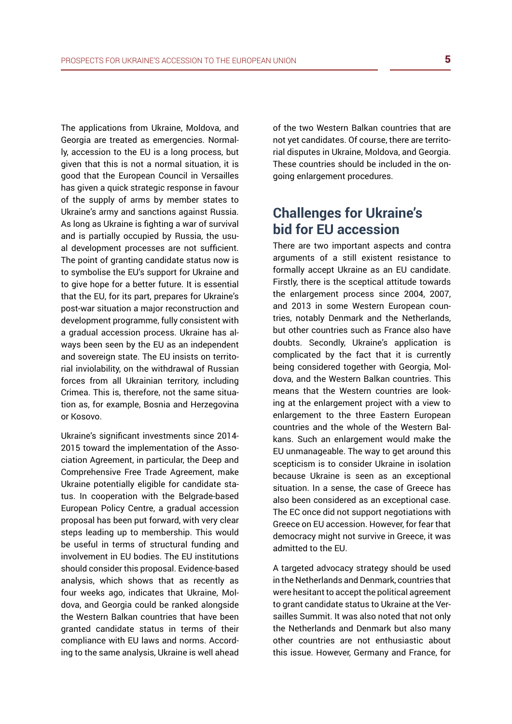The applications from Ukraine, Moldova, and Georgia are treated as emergencies. Normally, accession to the EU is a long process, but given that this is not a normal situation, it is good that the European Council in Versailles has given a quick strategic response in favour of the supply of arms by member states to Ukraine's army and sanctions against Russia. As long as Ukraine is fighting a war of survival and is partially occupied by Russia, the usual development processes are not sufficient. The point of granting candidate status now is to symbolise the EU's support for Ukraine and to give hope for a better future. It is essential that the EU, for its part, prepares for Ukraine's post-war situation a major reconstruction and development programme, fully consistent with a gradual accession process. Ukraine has always been seen by the EU as an independent and sovereign state. The EU insists on territorial inviolability, on the withdrawal of Russian forces from all Ukrainian territory, including Crimea. This is, therefore, not the same situation as, for example, Bosnia and Herzegovina or Kosovo.

Ukraine's significant investments since 2014- 2015 toward the implementation of the Association Agreement, in particular, the Deep and Comprehensive Free Trade Agreement, make Ukraine potentially eligible for candidate status. In cooperation with the Belgrade-based European Policy Centre, a gradual accession proposal has been put forward, with very clear steps leading up to membership. This would be useful in terms of structural funding and involvement in EU bodies. The EU institutions should consider this proposal. Evidence-based analysis, which shows that as recently as four weeks ago, indicates that Ukraine, Moldova, and Georgia could be ranked alongside the Western Balkan countries that have been granted candidate status in terms of their compliance with EU laws and norms. According to the same analysis, Ukraine is well ahead of the two Western Balkan countries that are not yet candidates. Of course, there are territorial disputes in Ukraine, Moldova, and Georgia. These countries should be included in the ongoing enlargement procedures.

## **Challenges for Ukraine's bid for EU accession**

There are two important aspects and contra arguments of a still existent resistance to formally accept Ukraine as an EU candidate. Firstly, there is the sceptical attitude towards the enlargement process since 2004, 2007, and 2013 in some Western European countries, notably Denmark and the Netherlands, but other countries such as France also have doubts. Secondly, Ukraine's application is complicated by the fact that it is currently being considered together with Georgia, Moldova, and the Western Balkan countries. This means that the Western countries are looking at the enlargement project with a view to enlargement to the three Eastern European countries and the whole of the Western Balkans. Such an enlargement would make the EU unmanageable. The way to get around this scepticism is to consider Ukraine in isolation because Ukraine is seen as an exceptional situation. In a sense, the case of Greece has also been considered as an exceptional case. The EC once did not support negotiations with Greece on EU accession. However, for fear that democracy might not survive in Greece, it was admitted to the EU.

A targeted advocacy strategy should be used in the Netherlands and Denmark, countries that were hesitant to accept the political agreement to grant candidate status to Ukraine at the Versailles Summit. It was also noted that not only the Netherlands and Denmark but also many other countries are not enthusiastic about this issue. However, Germany and France, for